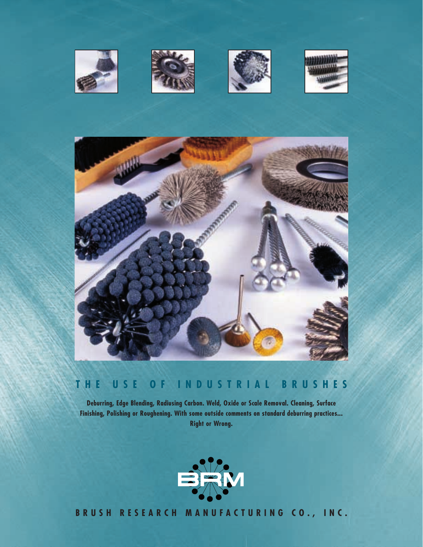









# **THE USE OF INDUSTRIAL BRUSHES**

**Deburring, Edge Blending, Radiusing Carbon. Weld, Oxide or Scale Removal. Cleaning, Surface Finishing, Polishing or Roughening. With some outside comments on standard deburring practices... Right or Wrong.**



**BRUSH RESEARCH MANUFACTURING CO., INC.**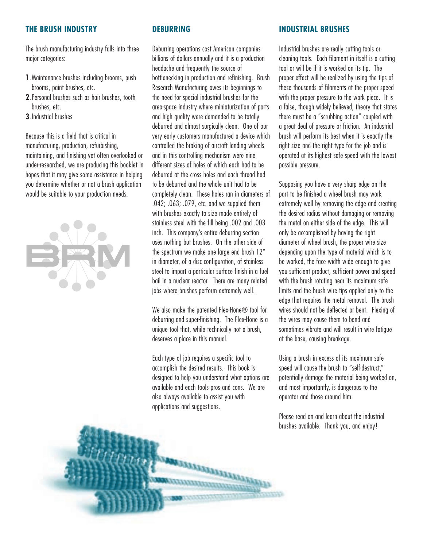#### **THE BRUSH INDUSTRY**

The brush manufacturing industry falls into three major categories:

- **1**.Maintenance brushes including brooms, push brooms, paint brushes, etc.
- **2**.Personal brushes such as hair brushes, tooth brushes, etc.
- **3**.Industrial brushes

Because this is a field that is critical in manufacturing, production, refurbishing, maintaining, and finishing yet often overlooked or under-researched, we are producing this booklet in hopes that it may give some assistance in helping you determine whether or not a brush application would be suitable to your production needs.



# **DEBURRING**

Deburring operations cost American companies billions of dollars annually and it is a production headache and frequently the source of bottlenecking in production and refinishing. Brush Research Manufacturing owes its beginnings to the need for special industrial brushes for the areo-space industry where miniaturization of parts and high quality were demanded to be totally deburred and almost surgically clean. One of our very early customers manufactured a device which controlled the braking of aircraft landing wheels and in this controlling mechanism were nine different sizes of holes of which each had to be deburred at the cross holes and each thread had to be deburred and the whole unit had to be completely clean. These holes ran in diameters of .042; .063; .079, etc. and we supplied them with brushes exactly to size made entirely of stainless steel with the fill being .002 and .003 inch. This company's entire deburring section uses nothing but brushes. On the other side of the spectrum we make one large end brush 12" in diameter, of a disc configuration, of stainless steel to impart a particular surface finish in a fuel bail in a nuclear reactor. There are many related jobs where brushes perform extremely well.

We also make the patented Flex-Hone® tool for deburring and super-finishing. The Flex-Hone is a unique tool that, while technically not a brush, deserves a place in this manual.

Each type of job requires a specific tool to accomplish the desired results. This book is designed to help you understand what options are available and each tools pros and cons. We are also always available to assist you with applications and suggestions.

annung ang K

## **INDUSTRIAL BRUSHES**

Industrial brushes are really cutting tools or cleaning tools. Each filament in itself is a cutting tool or will be if it is worked on its tip. The proper effect will be realized by using the tips of these thousands of filaments at the proper speed with the proper pressure to the work piece. It is a false, though widely believed, theory that states there must be a "scrubbing action" coupled with a great deal of pressure or friction. An industrial brush will perform its best when it is exactly the right size and the right type for the job and is operated at its highest safe speed with the lowest possible pressure.

Supposing you have a very sharp edge on the part to be finished a wheel brush may work extremely well by removing the edge and creating the desired radius without damaging or removing the metal on either side of the edge. This will only be accomplished by having the right diameter of wheel brush, the proper wire size depending upon the type of material which is to be worked, the face width wide enough to give you sufficient product, sufficient power and speed with the brush rotating near its maximum safe limits and the brush wire tips applied only to the edge that requires the metal removal. The brush wires should not be deflected or bent. Flexing of the wires may cause them to bend and sometimes vibrate and will result in wire fatigue at the base, causing breakage.

Using a brush in excess of its maximum safe speed will cause the brush to "self-destruct," potentially damage the material being worked on, and most importantly, is dangerous to the operator and those around him.

Please read on and learn about the industrial brushes available. Thank you, and enjoy!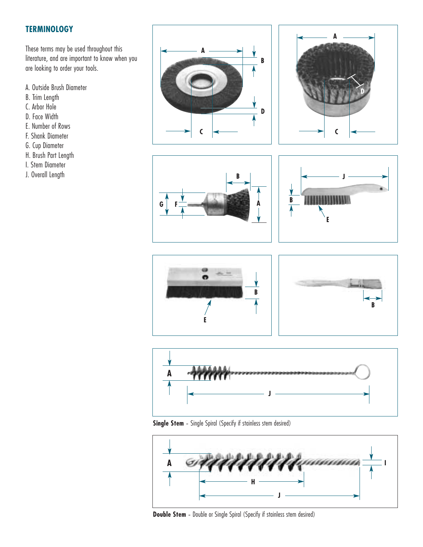# **TERMINOLOGY**

These terms may be used throughout this literature, and are important to know when you are looking to order your tools.

- A. Outside Brush Diameter
- B. Trim Length
- C. Arbor Hole
- D. Face Width
- E. Number of Rows
- F. Shank Diameter
- G. Cup Diameter
- H. Brush Part Length
- I. Stem Diameter
- J. Overall Length















**Single Stem** - Single Spiral (Specify if stainless stem desired)



**Double Stem** - Double or Single Spiral (Specify if stainless stem desired)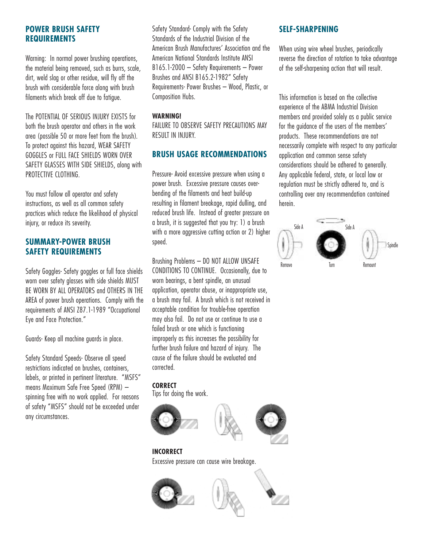# **POWER BRUSH SAFETY REQUIREMENTS**

Warning: In normal power brushing operations, the material being removed, such as burrs, scale, dirt, weld slag or other residue, will fly off the brush with considerable force along with brush filaments which break off due to fatigue.

The POTENTIAL OF SERIOUS INJURY EXISTS for both the brush operator and others in the work area (possible 50 or more feet from the brush). To protect against this hazard, WEAR SAFETY GOGGLES or FULL FACE SHIELDS WORN OVER SAFETY GLASSES WITH SIDE SHIELDS, along with PROTECTIVE CLOTHING.

You must follow all operator and safety instructions, as well as all common safety practices which reduce the likelihood of physical injury, or reduce its severity.

# **SUMMARY-POWER BRUSH SAFETY REQUIREMENTS**

Safety Goggles- Safety goggles or full face shields worn over safety glasses with side shields MUST BE WORN BY ALL OPERATORS and OTHERS IN THE AREA of power brush operations. Comply with the requirements of ANSI Z87.1-1989 "Occupational Eye and Face Protection."

Guards- Keep all machine guards in place.

Safety Standard Speeds- Observe all speed restrictions indicated on brushes, containers, labels, or printed in pertinent literature. "MSFS" means Maximum Safe Free Speed (RPM) – spinning free with no work applied. For reasons of safety "MSFS" should not be exceeded under any circumstances.

Safety Standard- Comply with the Safety Standards of the Industrial Division of the American Brush Manufactures' Association and the American National Standards Institute ANSI B165.1-2000 – Safety Requirements – Power Brushes and ANSI B165.2-1982" Safety Requirements- Power Brushes – Wood, Plastic, or Composition Hubs.

#### **WARNING!**

FAILURE TO OBSERVE SAFETY PRECAUTIONS MAY RESULT IN INJURY.

# **BRUSH USAGE RECOMMENDATIONS**

Pressure- Avoid excessive pressure when using a power brush. Excessive pressure causes overbending of the filaments and heat build-up resulting in filament breakage, rapid dulling, and reduced brush life. Instead of greater pressure on a brush, it is suggested that you try: 1) a brush with a more aggressive cutting action or 2) higher speed.

Brushing Problems – DO NOT ALLOW UNSAFE CONDITIONS TO CONTINUE. Occasionally, due to worn bearings, a bent spindle, an unusual application, operator abuse, or inappropriate use, a brush may fail. A brush which is not received in acceptable condition for trouble-free operation may also fail. Do not use or continue to use a failed brush or one which is functioning improperly as this increases the possibility for further brush failure and hazard of injury. The cause of the failure should be evaluated and corrected.

## **CORRECT**

Tips for doing the work.



Excessive pressure can cause wire breakage.



# **SELF-SHARPENING**

When using wire wheel brushes, periodically reverse the direction of rotation to take advantage of the self-sharpening action that will result.

This information is based on the collective experience of the ABMA Industrial Division members and provided solely as a public service for the guidance of the users of the members' products. These recommendations are not necessarily complete with respect to any particular application and common sense safety considerations should be adhered to generally. Any applicable federal, state, or local law or regulation must be strictly adhered to, and is controlling over any recommendation contained herein.

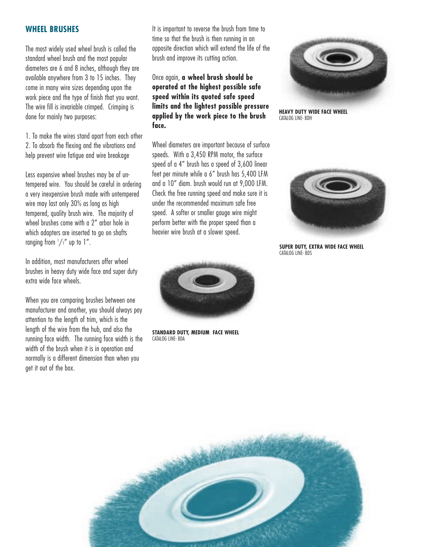#### **WHEEL BRUSHES**

The most widely used wheel brush is called the standard wheel brush and the most popular diameters are 6 and 8 inches, although they are available anywhere from 3 to 15 inches. They come in many wire sizes depending upon the work piece and the type of finish that you want. The wire fill is invariable crimped. Crimping is done for mainly two purposes:

1. To make the wires stand apart from each other 2. To absorb the flexing and the vibrations and help prevent wire fatigue and wire breakage

Less expensive wheel brushes may be of untempered wire. You should be careful in ordering a very inexpensive brush made with untempered wire may last only 30% as long as high tempered, quality brush wire. The majority of wheel brushes come with a 2" arbor hole in which adapters are inserted to go on shafts ranging from  $\frac{1}{2}$  up to 1".

In addition, most manufacturers offer wheel brushes in heavy duty wide face and super duty extra wide face wheels.

When you are comparing brushes between one manufacturer and another, you should always pay attention to the length of trim, which is the length of the wire from the hub, and also the running face width. The running face width is the width of the brush when it is in operation and normally is a different dimension than when you get it out of the box.

It is important to reverse the brush from time to time so that the brush is then running in an opposite direction which will extend the life of the brush and improve its cutting action.

## Once again, **a wheel brush should be operated at the highest possible safe speed within its quoted safe speed limits and the lightest possible pressure applied by the work piece to the brush face.**



**HEAVY DUTY WIDE FACE WHEEL** CATALOG LINE- BDH

Wheel diameters are important because of surface speeds. With a 3,450 RPM motor, the surface speed of a 4" brush has a speed of 3,600 linear feet per minute while a 6" brush has 5,400 LFM and a 10" diam. brush would run at 9,000 LFM. Check the free running speed and make sure it is under the recommended maximum safe free speed. A softer or smaller gauge wire might perform better with the proper speed than a heavier wire brush at a slower speed.



**STANDARD DUTY, MEDIUM FACE WHEEL** CATALOG LINE- BDA



**SUPER DUTY, EXTRA WIDE FACE WHEEL** CATALOG LINE- BDS

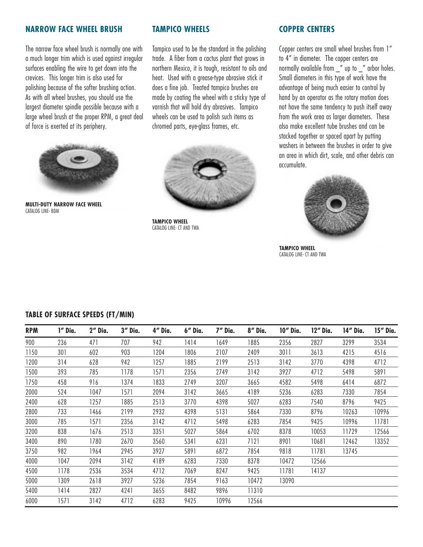#### **NARROW FACE WHEEL BRUSH**

The narrow face wheel brush is normally one with a much longer trim which is used against irregular surfaces enabling the wire to get down into the crevices. This longer trim is also used for polishing because of the softer brushing action. As with all wheel brushes, you should use the largest diameter spindle possible because with a large wheel brush at the proper RPM, a great deal of force is exerted at its periphery.



**MULTI-DUTY NARROW FACE WHEEL** CATALOG LINE- BDM

#### **TAMPICO WHEELS**

Tampico used to be the standard in the polishing trade. A fiber from a cactus plant that grows in northern Mexico, it is tough, resistant to oils and heat. Used with a grease-type abrasive stick it does a fine job. Treated tampico brushes are made by coating the wheel with a sticky type of varnish that will hold dry abrasives. Tampico wheels can be used to polish such items as chromed parts, eye-glass frames, etc.



**TAMPICO WHEEL** CATALOG LINE- CT AND TWA

#### **COPPER CENTERS**

Copper centers are small wheel brushes from 1" to 4" in diameter. The copper centers are normally available from \_" up to \_" arbor holes. Small diameters in this type of work have the advantage of being much easier to control by hand by an operator as the rotary motion does not have the same tendency to push itself away from the work area as larger diameters. These also make excellent tube brushes and can be stacked together or spaced apart by putting washers in between the brushes in order to give an area in which dirt, scale, and other debris can accumulate.



**TAMPICO WHEEL** CATALOG LINE- CT AND TWA

| <b>RPM</b> | 1" Dia. | 2" Dia. | 3" Dia. | 4" Dia. | $6''$ Dia. | 7" Dia. | 8" Dia. | 10" Dia. | 12" Dia. | 14" Dia. | 15" Dia. |
|------------|---------|---------|---------|---------|------------|---------|---------|----------|----------|----------|----------|
| 900        | 236     | 471     | 707     | 942     | 1414       | 1649    | 1885    | 2356     | 2827     | 3299     | 3534     |
| 1150       | 301     | 602     | 903     | 1204    | 1806       | 2107    | 2409    | 3011     | 3613     | 4215     | 4516     |
| 1200       | 314     | 628     | 942     | 1257    | 1885       | 2199    | 2513    | 3142     | 3770     | 4398     | 4712     |
| 1500       | 393     | 785     | 1178    | 1571    | 2356       | 2749    | 3142    | 3927     | 4712     | 5498     | 5891     |
| 1750       | 458     | 916     | 1374    | 1833    | 2749       | 3207    | 3665    | 4582     | 5498     | 6414     | 6872     |
| 2000       | 524     | 1047    | 1571    | 2094    | 3142       | 3665    | 4189    | 5236     | 6283     | 7330     | 7854     |
| 2400       | 628     | 1257    | 1885    | 2513    | 3770       | 4398    | 5027    | 6283     | 7540     | 8796     | 9425     |
| 2800       | 733     | 1466    | 2199    | 2932    | 4398       | 5131    | 5864    | 7330     | 8796     | 10263    | 10996    |
| 3000       | 785     | 1571    | 2356    | 3142    | 4712       | 5498    | 6283    | 7854     | 9425     | 10996    | 11781    |
| 3200       | 838     | 1676    | 2513    | 3351    | 5027       | 5864    | 6702    | 8378     | 10053    | 11729    | 12566    |
| 3400       | 890     | 1780    | 2670    | 3560    | 5341       | 6231    | 7121    | 8901     | 10681    | 12462    | 13352    |
| 3750       | 982     | 1964    | 2945    | 3927    | 5891       | 6872    | 7854    | 9818     | 11781    | 13745    |          |
| 4000       | 1047    | 2094    | 3142    | 4189    | 6283       | 7330    | 8378    | 10472    | 12566    |          |          |
| 4500       | 1178    | 2536    | 3534    | 4712    | 7069       | 8247    | 9425    | 11781    | 14137    |          |          |
| 5000       | 1309    | 2618    | 3927    | 5236    | 7854       | 9163    | 10472   | 13090    |          |          |          |
| 5400       | 1414    | 2827    | 4241    | 3655    | 8482       | 9896    | 11310   |          |          |          |          |
| 6000       | 1571    | 3142    | 4712    | 6283    | 9425       | 10996   | 12566   |          |          |          |          |

#### **TABLE OF SURFACE SPEEDS (FT/MIN)**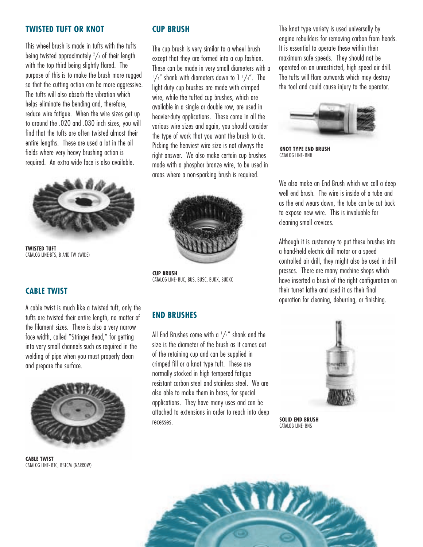#### **TWISTED TUFT OR KNOT**

This wheel brush is made in tufts with the tufts being twisted approximately  $\frac{2}{3}$  of their length with the top third being slightly flared. The purpose of this is to make the brush more rugged so that the cutting action can be more aggressive. The tufts will also absorb the vibration which helps eliminate the bending and, therefore, reduce wire fatigue. When the wire sizes get up to around the .020 and .030 inch sizes, you will find that the tufts are often twisted almost their entire lengths. These are used a lot in the oil fields where very heavy brushing action is required. An extra wide face is also available.



**TWISTED TUFT** CATALOG LINE-BTS, B AND TW (WIDE)

## **CABLE TWIST**

A cable twist is much like a twisted tuft, only the tufts are twisted their entire length, no matter of the filament sizes. There is also a very narrow face width, called "Stringer Bead," for getting into very small channels such as required in the welding of pipe when you must properly clean and prepare the surface.



**CABLE TWIST** CATALOG LINE- BTC, BSTCM (NARROW)

# **CUP BRUSH**

The cup brush is very similar to a wheel brush except that they are formed into a cup fashion. These can be made in very small diameters with a  $1/4$ " shank with diameters down to 1  $1/4$ ". The light duty cup brushes are made with crimped wire, while the tufted cup brushes, which are available in a single or double row, are used in heavier-duty applications. These come in all the various wire sizes and again, you should consider the type of work that you want the brush to do. Picking the heaviest wire size is not always the right answer. We also make certain cup brushes made with a phosphor bronze wire, to be used in areas where a non-sparking brush is required.



**CUP BRUSH** CATALOG LINE- BUC, BUS, BUSC, BUDX, BUDXC

# **END BRUSHES**

All End Brushes come with a  $1/4$ " shank and the size is the diameter of the brush as it comes out of the retaining cup and can be supplied in crimped fill or a knot type tuft. These are normally stocked in high tempered fatigue resistant carbon steel and stainless steel. We are also able to make them in brass, for special applications. They have many uses and can be attached to extensions in order to reach into deep recesses.

The knot type variety is used universally by engine rebuilders for removing carbon from heads. It is essential to operate these within their maximum safe speeds. They should not be operated on an unrestricted, high speed air drill. The tufts will flare outwards which may destroy the tool and could cause injury to the operator.



**KNOT TYPE END BRUSH** CATALOG LINF- BNH

We also make an End Brush which we call a deep well end brush. The wire is inside of a tube and as the end wears down, the tube can be cut back to expose new wire. This is invaluable for cleaning small crevices.

Although it is customary to put these brushes into a hand-held electric drill motor or a speed controlled air drill, they might also be used in drill presses. There are many machine shops which have inserted a brush of the right configuration on their turret lathe and used it as their final operation for cleaning, deburring, or finishing.



**SOLID END BRUSH** CATALOG LINE- BNS

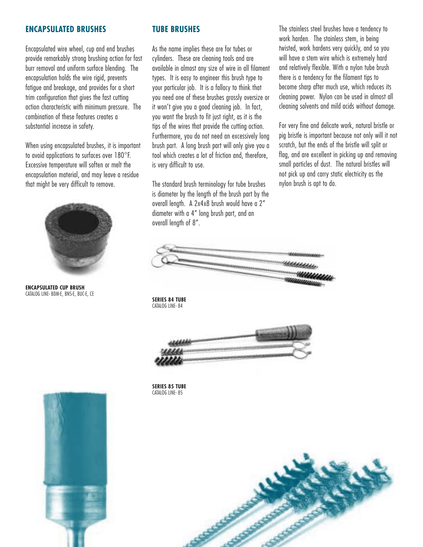#### **ENCAPSULATED BRUSHES**

Encapsulated wire wheel, cup and end brushes provide remarkably strong brushing action for fast burr removal and uniform surface blending. The encapsulation holds the wire rigid, prevents fatigue and breakage, and provides for a short trim configuration that gives the fast cutting action characteristic with minimum pressure. The combination of these features creates a substantial increase in safety.

When using encapsulated brushes, it is important to avoid applications to surfaces over 180°F. Excessive temperature will soften or melt the encapsulation material, and may leave a residue that might be very difficult to remove.



**ENCAPSULATED CUP BRUSH** CATALOG LINE- BDM-E, BNS-E, BUC-E, CE

# **TUBE BRUSHES**

As the name implies these are for tubes or cylinders. These are cleaning tools and are available in almost any size of wire in all filament types. It is easy to engineer this brush type to your particular job. It is a fallacy to think that you need one of these brushes grossly oversize or it won't give you a good cleaning job. In fact, you want the brush to fit just right, as it is the tips of the wires that provide the cutting action. Furthermore, you do not need an excessively long brush part. A long brush part will only give you a tool which creates a lot of friction and, therefore, is very difficult to use.

The standard brush terminology for tube brushes is diameter by the length of the brush part by the overall length. A 2x4x8 brush would have a 2" diameter with a 4" long brush part, and an overall length of 8".

The stainless steel brushes have a tendency to work harden. The stainless stem, in being twisted, work hardens very quickly, and so you will have a stem wire which is extremely hard and relatively flexible. With a nylon tube brush there is a tendency for the filament tips to become sharp after much use, which reduces its cleaning power. Nylon can be used in almost all cleaning solvents and mild acids without damage.

For very fine and delicate work, natural bristle or pig bristle is important because not only will it not scratch, but the ends of the bristle will split or flag, and are excellent in picking up and removing small particles of dust. The natural bristles will not pick up and carry static electricity as the nylon brush is apt to do.



#### **SERIES 84 TUBE** CATALOG LINE- 84



**SERIES 85 TUBE** CATALOG LINE- 85



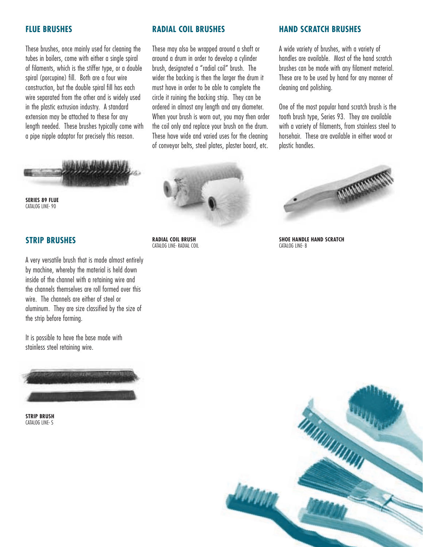#### **FLUE BRUSHES**

These brushes, once mainly used for cleaning the tubes in boilers, come with either a single spiral of filaments, which is the stiffer type, or a double spiral (porcupine) fill. Both are a four wire construction, but the double spiral fill has each wire separated from the other and is widely used in the plastic extrusion industry. A standard extension may be attached to these for any length needed. These brushes typically come with a pipe nipple adaptor for precisely this reason.



**SERIES 89 FLUE** CATALOG LINE- 90

# **STRIP BRUSHES**

A very versatile brush that is made almost entirely by machine, whereby the material is held down inside of the channel with a retaining wire and the channels themselves are roll formed over this wire. The channels are either of steel or aluminum. They are size classified by the size of the strip before forming.

It is possible to have the base made with stainless steel retaining wire.



**STRIP BRUSH** CATALOG LINE- S

#### **RADIAL COIL BRUSHES**

These may also be wrapped around a shaft or around a drum in order to develop a cylinder brush, designated a "radial coil" brush. The wider the backing is then the larger the drum it must have in order to be able to complete the circle it ruining the backing strip. They can be ordered in almost any length and any diameter. When your brush is worn out, you may then order the coil only and replace your brush on the drum. These have wide and varied uses for the cleaning of conveyor belts, steel plates, plaster board, etc.

#### **HAND SCRATCH BRUSHES**

A wide variety of brushes, with a variety of handles are available. Most of the hand scratch brushes can be made with any filament material. These are to be used by hand for any manner of cleaning and polishing.

One of the most popular hand scratch brush is the tooth brush type, Series 93. They are available with a variety of filaments, from stainless steel to horsehair. These are available in either wood or plastic handles.



**SHOE HANDLE HAND SCRATCH** CATALOG LINE- B





**RADIAL COIL BRUSH** CATALOG LINE- RADIAL COIL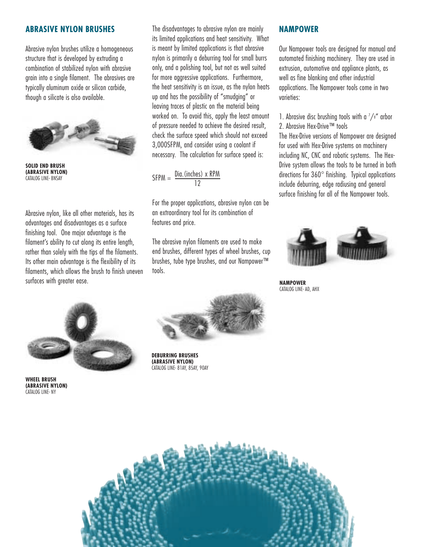#### **ABRASIVE NYLON BRUSHES**

Abrasive nylon brushes utilize a homogeneous structure that is developed by extruding a combination of stabilized nylon with abrasive grain into a single filament. The abrasives are typically aluminum oxide or silicon carbide, though a silicate is also available.



**SOLID END BRUSH (ABRASIVE NYLON)** CATALOG LINE- BNSAY

Abrasive nylon, like all other materials, has its advantages and disadvantages as a surface finishing tool. One major advantage is the filament's ability to cut along its entire length, rather than solely with the tips of the filaments. Its other main advantage is the flexibility of its filaments, which allows the brush to finish uneven surfaces with greater ease.



**WHEEL BRUSH (ABRASIVE NYLON)** CATALOG LINE- NY

The disadvantages to abrasive nylon are mainly its limited applications and heat sensitivity. What is meant by limited applications is that abrasive nylon is primarily a deburring tool for small burrs only, and a polishing tool, but not as well suited for more aggressive applications. Furthermore, the heat sensitivity is an issue, as the nylon heats up and has the possibility of "smudging" or leaving traces of plastic on the material being worked on. To avoid this, apply the least amount of pressure needed to achieve the desired result, check the surface speed which should not exceed 3,000SFPM, and consider using a coolant if necessary. The calculation for surface speed is:

SFPM =  $\frac{\text{Dia.}(\text{inches}) \times \text{RPM}}{12}$ 

For the proper applications, abrasive nylon can be an extraordinary tool for its combination of features and price.

The abrasive nylon filaments are used to make end brushes, different types of wheel brushes, cup brushes, tube type brushes, and our Nampower™ tools.



**DEBURRING BRUSHES (ABRASIVE NYLON)** CATALOG LINE- 81AY, 85AY, 90AY

#### **NAMPOWER**

Our Nampower tools are designed for manual and automated finishing machinery. They are used in extrusion, automotive and appliance plants, as well as fine blanking and other industrial applications. The Nampower tools come in two varieties:

1. Abrasive disc brushing tools with a  $\frac{7}{8}$  arbor 2. Abrasive Hex-Drive™ tools

The Hex-Drive versions of Nampower are designed for used with Hex-Drive systems on machinery including NC, CNC and robotic systems. The Hex-Drive system allows the tools to be turned in both directions for 360° finishing. Typical applications include deburring, edge radiusing and general surface finishing for all of the Nampower tools.



**NAMPOWER**  CATALOG LINE- AD, AHX

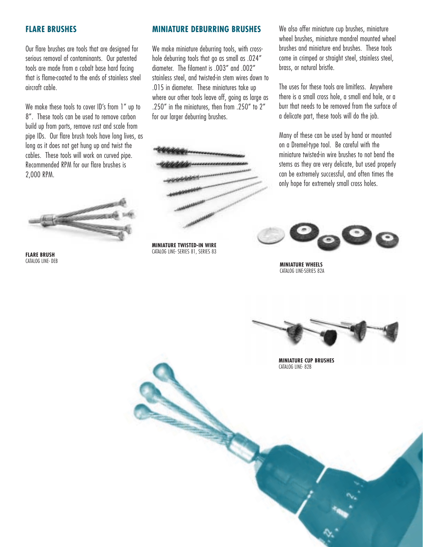#### **FLARE BRUSHES**

Our flare brushes are tools that are designed for serious removal of contaminants. Our patented tools are made from a cobalt base hard facing that is flame-coated to the ends of stainless steel aircraft cable.

We make these tools to cover ID's from 1" up to 8". These tools can be used to remove carbon build up from ports, remove rust and scale from pipe IDs. Our flare brush tools have long lives, as long as it does not get hung up and twist the cables. These tools will work on curved pipe. Recommended RPM for our flare brushes is 2,000 RPM.



**FLARE BRUSH** CATALOG LINE- DEB

#### **MINIATURE DEBURRING BRUSHES**

We make miniature deburring tools, with crosshole deburring tools that go as small as .024" diameter. The filament is .003" and .002" stainless steel, and twisted-in stem wires down to .015 in diameter. These miniatures take up where our other tools leave off, going as large as .250" in the miniatures, then from .250" to 2" for our larger deburring brushes.



**MINIATURE TWISTED-IN WIRE** CATALOG LINE- SERIES 81, SERIES 83

We also offer miniature cup brushes, miniature wheel brushes, miniature mandrel mounted wheel brushes and miniature end brushes. These tools come in crimped or straight steel, stainless steel, brass, or natural bristle.

The uses for these tools are limitless. Anywhere there is a small cross hole, a small end hole, or a burr that needs to be removed from the surface of a delicate part, these tools will do the job.

Many of these can be used by hand or mounted on a Dremel-type tool. Be careful with the miniature twisted-in wire brushes to not bend the stems as they are very delicate, but used properly can be extremely successful, and often times the only hope for extremely small cross holes.



**MINIATURE WHEELS** CATALOG LINE-SERIES 82A



**MINIATURE CUP BRUSHES** CATALOG LINE- 82B